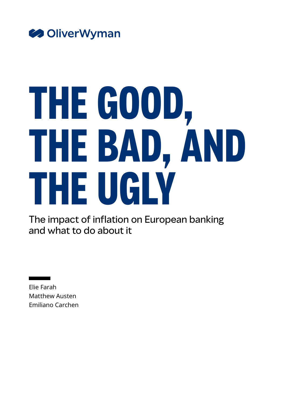

# **THE GOOD, THE BAD, AND THE UGLY**

The impact of inflation on European banking and what to do about it

Elie Farah Matthew Austen Emiliano Carchen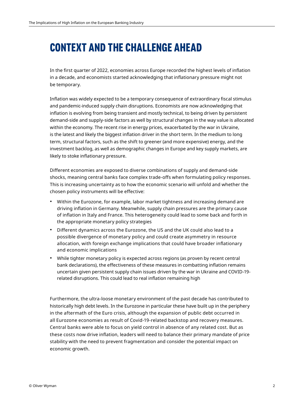# **CONTEXT AND THE CHALLENGE AHEAD**

In the first quarter of 2022, economies across Europe recorded the highest levels of inflation in a decade, and economists started acknowledging that inflationary pressure might not be temporary.

Inflation was widely expected to be a temporary consequence of extraordinary fiscal stimulus and pandemic-induced supply chain disruptions. Economists are now acknowledging that inflation is evolving from being transient and mostly technical, to being driven by persistent demand-side and supply-side factors as well by structural changes in the way value is allocated within the economy. The recent rise in energy prices, exacerbated by the war in Ukraine, is the latest and likely the biggest inflation driver in the short term. In the medium to long term, structural factors, such as the shift to greener (and more expensive) energy, and the investment backlog, as well as demographic changes in Europe and key supply markets, are likely to stoke inflationary pressure.

Different economies are exposed to diverse combinations of supply and demand-side shocks, meaning central banks face complex trade-offs when formulating policy responses. This is increasing uncertainty as to how the economic scenario will unfold and whether the chosen policy instruments will be effective:

- Within the Eurozone, for example, labor market tightness and increasing demand are driving inflation in Germany. Meanwhile, supply chain pressures are the primary cause of inflation in Italy and France. This heterogeneity could lead to some back and forth in the appropriate monetary policy strategies
- Different dynamics across the Eurozone, the US and the UK could also lead to a possible divergence of monetary policy and could create asymmetry in resource allocation, with foreign exchange implications that could have broader inflationary and economic implications
- While tighter monetary policy is expected across regions (as proven by recent central bank declarations), the effectiveness of these measures in combatting inflation remains uncertain given persistent supply chain issues driven by the war in Ukraine and COVID-19 related disruptions. This could lead to real inflation remaining high

Furthermore, the ultra-loose monetary environment of the past decade has contributed to historically high debt levels. In the Eurozone in particular these have built up in the periphery in the aftermath of the Euro crisis, although the expansion of public debt occurred in all Eurozone economies as result of Covid-19-related backstop and recovery measures. Central banks were able to focus on yield control in absence of any related cost. But as these costs now drive inflation, leaders will need to balance their primary mandate of price stability with the need to prevent fragmentation and consider the potential impact on economic growth.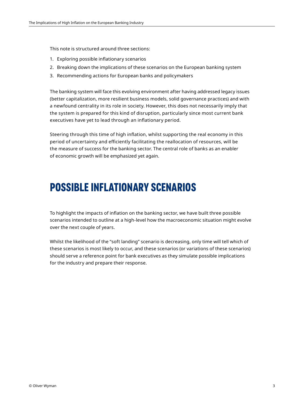This note is structured around three sections:

- 1. Exploring possible inflationary scenarios
- 2. Breaking down the implications of these scenarios on the European banking system
- 3. Recommending actions for European banks and policymakers

The banking system will face this evolving environment after having addressed legacy issues (better capitalization, more resilient business models, solid governance practices) and with a newfound centrality in its role in society. However, this does not necessarily imply that the system is prepared for this kind of disruption, particularly since most current bank executives have yet to lead through an inflationary period.

Steering through this time of high inflation, whilst supporting the real economy in this period of uncertainty and efficiently facilitating the reallocation of resources, will be the measure of success for the banking sector. The central role of banks as an enabler of economic growth will be emphasized yet again.

# **POSSIBLE INFLATIONARY SCENARIOS**

To highlight the impacts of inflation on the banking sector, we have built three possible scenarios intended to outline at a high-level how the macroeconomic situation might evolve over the next couple of years.

Whilst the likelihood of the "soft landing" scenario is decreasing, only time will tell which of these scenarios is most likely to occur, and these scenarios (or variations of these scenarios) should serve a reference point for bank executives as they simulate possible implications for the industry and prepare their response.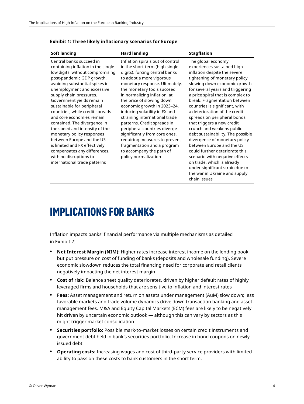| Soft landing                                                                                                                                                                                                                                                                                                                                                                                                                                                                                                                                                                                                | <b>Hard landing</b>                                                                                                                                                                                                                                                                                                                                                                                                                                                                                                                                                                | <b>Stagflation</b>                                                                                                                                                                                                                                                                                                                                                                                                                                                                                                                                                                                                                                                                                                |
|-------------------------------------------------------------------------------------------------------------------------------------------------------------------------------------------------------------------------------------------------------------------------------------------------------------------------------------------------------------------------------------------------------------------------------------------------------------------------------------------------------------------------------------------------------------------------------------------------------------|------------------------------------------------------------------------------------------------------------------------------------------------------------------------------------------------------------------------------------------------------------------------------------------------------------------------------------------------------------------------------------------------------------------------------------------------------------------------------------------------------------------------------------------------------------------------------------|-------------------------------------------------------------------------------------------------------------------------------------------------------------------------------------------------------------------------------------------------------------------------------------------------------------------------------------------------------------------------------------------------------------------------------------------------------------------------------------------------------------------------------------------------------------------------------------------------------------------------------------------------------------------------------------------------------------------|
| Central banks succeed in<br>containing inflation in the single<br>low digits, without compromising<br>post-pandemic GDP growth,<br>avoiding substantial spikes in<br>unemployment and excessive<br>supply chain pressures.<br>Government yields remain<br>sustainable for peripheral<br>countries, while credit spreads<br>and core economies remain<br>contained. The divergence in<br>the speed and intensity of the<br>monetary policy responses<br>between Europe and the US<br>is limited and FX effectively<br>compensates any differences,<br>with no disruptions to<br>international trade patterns | Inflation spirals out of control<br>in the short-term (high single<br>digits), forcing central banks<br>to adopt a more vigorous<br>monetary response. Ultimately,<br>the monetary tools succeed<br>in normalizing inflation, at<br>the price of slowing down<br>economic growth in 2023-24,<br>inducing volatility in FX and<br>straining international trade<br>patterns. Credit spreads in<br>peripheral countries diverge<br>significantly from core ones,<br>requiring measures to prevent<br>fragmentation and a program<br>to accompany the path of<br>policy normalization | The global economy<br>experiences sustained high<br>inflation despite the severe<br>tightening of monetary policy,<br>slowing down economic growth<br>for several years and triggering<br>a price spiral that is complex to<br>break. Fragmentation between<br>countries is significant, with<br>a deterioration of the credit<br>spreads on peripheral bonds<br>that triggers a new credit<br>crunch and weakens public<br>debt sustainability. The possible<br>divergence of monetary policy<br>between Europe and the US<br>could further deteriorate this<br>scenario with negative effects<br>on trade, which is already<br>under significant strain due to<br>the war in Ukraine and supply<br>chain issues |

#### **Exhibit 1: Three likely inflationary scenarios for Europe**

## **IMPLICATIONS FOR BANKS**

Inflation impacts banks' financial performance via multiple mechanisms as detailed in Exhibit 2:

- **• Net Interest Margin (NIM):** Higher rates increase interest income on the lending book but put pressure on cost of funding of banks (deposits and wholesale funding). Severe economic slowdown reduces the total financing need for corporate and retail clients negatively impacting the net interest margin
- **• Cost of risk:** Balance sheet quality deteriorates, driven by higher default rates of highly leveraged firms and households that are sensitive to inflation and interest rates
- **• Fees:** Asset management and return on assets under management (AuM) slow down; less favorable markets and trade volume dynamics drive down transaction banking and asset management fees. M&A and Equity Capital Markets (ECM) fees are likely to be negatively hit driven by uncertain economic outlook — although this can vary by sectors as this might trigger market consolidation
- **• Securities portfolio:** Possible mark-to-market losses on certain credit instruments and government debt held in bank's securities portfolio. Increase in bond coupons on newly issued debt
- **• Operating costs:** Increasing wages and cost of third-party service providers with limited ability to pass on these costs to bank customers in the short term.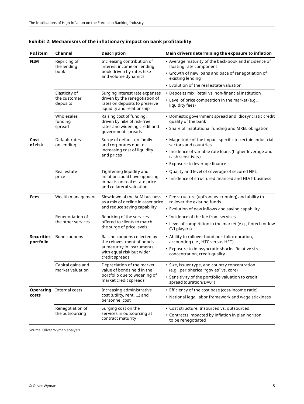| P&I item                       | Channel                                   | <b>Description</b>                                                                                                | Main drivers determining the exposure to inflation                                       |
|--------------------------------|-------------------------------------------|-------------------------------------------------------------------------------------------------------------------|------------------------------------------------------------------------------------------|
| <b>NIM</b>                     | Repricing of<br>the lending<br>book       | Increasing contribution of<br>interest income on lending                                                          | • Average maturity of the back-book and incidence of<br>floating rate component          |
|                                |                                           | book driven by rates hike<br>and volume dynamics                                                                  | • Growth of new loans and pace of renegotiation of<br>existing lending                   |
|                                |                                           |                                                                                                                   | • Evolution of the real estate valuation                                                 |
|                                | Elasticity of<br>the customer<br>deposits | Surging interest rate expenses                                                                                    | • Deposits mix: Retail vs. non-financial institution                                     |
|                                |                                           | driven by the renegotiation of<br>rates on deposits to preserve<br>liquidity and relationship                     | • Level of price competition in the market (e.g.,<br>liquidity fees)                     |
|                                | Wholesales<br>funding<br>spread           | Raising cost of funding,<br>driven by hike of risk-free                                                           | • Domestic government spread and idiosyncratic credit<br>quality of the bank             |
|                                |                                           | rates and widening credit and<br>government spreads                                                               | • Share of institutional funding and MREL obligation                                     |
| Cost<br>of risk                | Default rates<br>on lending               | Surge of default on family<br>and corporates due to                                                               | • Magnitude of the impact specific to certain industrial<br>sectors and countries        |
|                                |                                           | increasing cost of liquidity<br>and prices                                                                        | • Incidence of variable rate loans (higher leverage and<br>cash sensitivity)             |
|                                |                                           |                                                                                                                   | • Exposure to leverage finance                                                           |
|                                | Real estate<br>price                      | Tightening liquidity and                                                                                          | • Quality and level of coverage of secured NPL                                           |
|                                |                                           | inflation could have opposing<br>impacts on real estate price<br>and collateral valuation                         | • Incidence of structured financed and HLVT business                                     |
| Fees                           | Wealth management                         | Slowdown of the AuM business<br>as a mix of decline in asset price<br>and reduce saving capability                | • Fee structure (upfront vs. running) and ability to<br>rollover the existing funds      |
|                                |                                           |                                                                                                                   | • Evolution of new inflows and saving capability                                         |
|                                | Renegotiation of<br>the other services    | Repricing of the services<br>offered to clients to match<br>the surge of price levels                             | • Incidence of the fee from services                                                     |
|                                |                                           |                                                                                                                   | • Level of competition in the market (e.g., fintech or low<br>C/I players)               |
| <b>Securities</b><br>portfolio | Bond coupons                              | Raising coupons collected by<br>the reinvestment of bonds                                                         | • Ability to rollover bond portfolio: duration,<br>accounting (i.e., HTC versus HFT)     |
|                                |                                           | at maturity in instruments<br>with equal risk but wider<br>credit spreads                                         | · Exposure to idiosyncratic shocks: Relative size,<br>concentration, credit quality      |
|                                | Capital gains and<br>market valuation     | Depreciation of the market<br>value of bonds held in the<br>portfolio due to widening of<br>market credit spreads | · Size, issuer type, and country concentration<br>(e.g., peripherical "govies" vs. core) |
|                                |                                           |                                                                                                                   | • Sensitivity of the portfolio valuation to credit<br>spread (duration/DV01)             |
| costs                          | <b>Operating</b> Internal costs           | Increasing administrative                                                                                         | • Efficiency of the cost base (cost-income ratio)                                        |
|                                |                                           | cost (utility, rent, ) and<br>personnel cost                                                                      | • National legal labor framework and wage stickiness                                     |
|                                | Renegotiation of                          | Surging cost on the                                                                                               | · Cost structure: Insourced vs. outsourced                                               |
|                                | the outsourcing                           | services in outsourcing at<br>contract maturity                                                                   | • Contracts impacted by inflation in plan horizon<br>to be renegotiated                  |

## **Exhibit 2: Mechanisms of the inflationary impact on bank profitability**

Source: Oliver Wyman analysis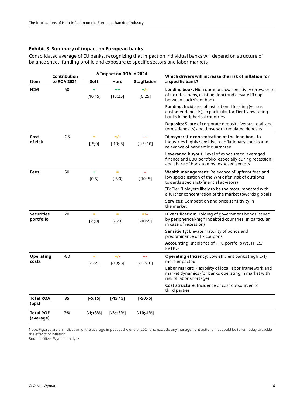#### **Exhibit 3: Summary of impact on European banks**

Consolidated average of EU banks, recognizing that impact on individual banks will depend on structure of balance sheet, funding profile and exposure to specific sectors and labor markets

|                                | Contribution<br>to ROA 2021 | ∆ Impact on ROA in 2024 |                          |                         | Which drivers will increase the risk of inflation for                                                                                                    |
|--------------------------------|-----------------------------|-------------------------|--------------------------|-------------------------|----------------------------------------------------------------------------------------------------------------------------------------------------------|
| Item                           |                             | Soft                    | Hard                     | <b>Stagflation</b>      | a specific bank?                                                                                                                                         |
| <b>NIM</b>                     | 60                          | ÷<br>[10;15]            | $^{++}$<br>[15;25]       | $+/-$<br>[0;25]         | <b>Lending book:</b> High duration, low sensitivity (prevalence<br>of fix rates loans, existing floor) and elevate IR gap<br>between back/front book     |
|                                |                             |                         |                          |                         | Funding: Incidence of institutional funding (versus<br>customer deposits), in particular for Tier II/low rating<br>banks in peripherical countries       |
|                                |                             |                         |                          |                         | Deposits: Share of corporate deposits (versus retail and<br>terms deposits) and those with regulated deposits                                            |
| Cost<br>of risk                | $-25$                       | $=$<br>$[-5;0]$         | $=$ / $-$<br>$[-10; -5]$ | --<br>$[-15; -10]$      | Idiosyncratic concentration of the loan book to<br>industries highly sensitive to inflationary shocks and<br>relevance of pandemic quarantee             |
|                                |                             |                         |                          |                         | Leveraged buyout: Level of exposure to leveraged<br>finance and LBO portfolio (especially during recession)<br>and share of book to most exposed sectors |
| Fees                           | 60                          | ÷<br>[0;5]              | $=$<br>$[-5;0]$          | $[-10; -5]$             | Wealth management: Relevance of upfront fees and<br>low specialization of the WM offer (risk of outflows<br>towards specialist/financial advisors)       |
|                                |                             |                         |                          |                         | <b>IB:</b> Tier II players likely to be the most impacted with<br>a further concentration of the market towards globals                                  |
|                                |                             |                         |                          |                         | <b>Services:</b> Competition and price sensitivity in<br>the market                                                                                      |
| <b>Securities</b><br>portfolio | 20                          | $\equiv$<br>$[-5;0]$    | Ξ<br>$[-5;0]$            | $=$ / $-$<br>$[-10,-5]$ | <b>Diversification:</b> Holding of government bonds issued<br>by peripherical/high indebted countries (in particular<br>in case of recession)            |
|                                |                             |                         |                          |                         | <b>Sensitivity:</b> Elevate maturity of bonds and<br>predominance of fix coupons                                                                         |
|                                |                             |                         |                          |                         | Accounting: Incidence of HTC portfolio (vs. HTCS/<br>FVTPL)                                                                                              |
| <b>Operating</b><br>costs      | -80                         | Ξ<br>$[-5; -5]$         | $=$ / $-$<br>$[-10,-5]$  | $[-15; -10]$            | <b>Operating efficiency:</b> Low efficient banks (high C/I)<br>more impacted                                                                             |
|                                |                             |                         |                          |                         | Labor market: Flexibility of local labor framework and<br>market dynamics (for banks operating in market with<br>risk of labor shortage)                 |
|                                |                             |                         |                          |                         | Cost structure: Incidence of cost outsourced to<br>third parties                                                                                         |
| <b>Total ROA</b><br>(bps)      | 35                          | $[-5;15]$               | $[-15;15]$               | $[-50; -5]$             |                                                                                                                                                          |
| <b>Total ROE</b><br>(average)  | 7%                          | $[-1; +3%]$             | $[-3; +3%]$              | $[-10; -1%]$            |                                                                                                                                                          |

Note: Figures are an indication of the average impact at the end of 2024 and exclude any management actions that could be taken today to tackle the effects of inflation

Source: Oliver Wyman analysis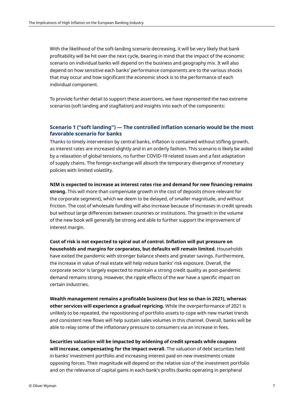With the likelihood of the soft-landing scenario decreasing, it will be very likely that bank profitability will be hit over the next cycle, bearing in mind that the impact of the economic scenario on individual banks will depend on the business and geography mix. It will also depend on how sensitive each banks' performance components are to the various shocks that may occur and how significant the economic shock is to the performance of each individual component.

To provide further detail to support these assertions, we have represented the two extreme scenarios (soft landing and stagflation) and insights into each of the components:

#### **Scenario 1 ("soft landing") — The controlled inflation scenario would be the most favorable scenario for banks**

Thanks to timely intervention by central banks, inflation is contained without stifling growth, as interest rates are increased slightly and in an orderly fashion. This scenario is likely be aided by a relaxation of global tensions, no further COVID-19 related issues and a fast adaptation of supply chains. The foreign exchange will absorb the temporary divergence of monetary policies with limited volatility.

**NIM is expected to increase as interest rates rise and demand for new financing remains** 

**strong.** This will more than compensate growth in the cost of deposits (more relevant for the corporate segment), which we deem to be delayed, of smaller magnitude, and without friction. The cost of wholesale funding will also increase because of increases in credit spreads but without large differences between countries or institutions. The growth in the volume of the new book will generally be strong and able to further support the improvement of interest margin.

**Cost of risk is not expected to spiral out of control. Inflation will put pressure on households and margins for corporates, but defaults will remain limited.** Households have exited the pandemic with stronger balance sheets and greater savings. Furthermore, the increase in value of real estate will help reduce banks' risk exposure. Overall, the corporate sector is largely expected to maintain a strong credit quality as post-pandemic demand remains strong. However, the ripple effects of the war have a specific impact on certain industries.

**Wealth management remains a profitable business (but less so than in 2021), whereas other services will experience a gradual repricing.** While the overperformance of 2021 is unlikely to be repeated, the repositioning of portfolio assets to cope with new market trends and consistent new flows will help sustain sales volumes in this channel. Overall, banks will be able to relay some of the inflationary pressure to consumers via an increase in fees.

**Securities valuation will be impacted by widening of credit spreads while coupons will increase, compensating for the impact overall.** The valuation of debt securities held in banks' investment portfolio and increasing interest paid on new investments create opposing forces. Their magnitude will depend on the relative size of the investment portfolio and on the relevance of capital gains in each bank's profits (banks operating in peripheral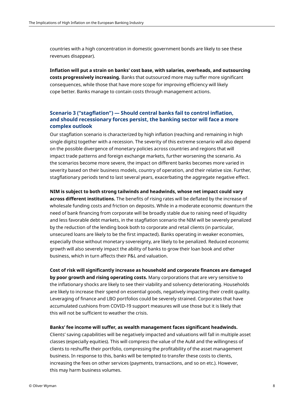countries with a high concentration in domestic government bonds are likely to see these revenues disappear).

**Inflation will put a strain on banks' cost base, with salaries, overheads, and outsourcing costs progressively increasing.** Banks that outsourced more may suffer more significant consequences, while those that have more scope for improving efficiency will likely cope better. Banks manage to contain costs through management actions.

## **Scenario 3 ("stagflation") — Should central banks fail to control inflation, and should recessionary forces persist, the banking sector will face a more complex outlook**

Our stagflation scenario is characterized by high inflation (reaching and remaining in high single digits) together with a recession. The severity of this extreme scenario will also depend on the possible divergence of monetary policies across countries and regions that will impact trade patterns and foreign exchange markets, further worsening the scenario. As the scenarios become more severe, the impact on different banks becomes more varied in severity based on their business models, country of operation, and their relative size. Further, stagflationary periods tend to last several years, exacerbating the aggregate negative effect.

## **NIM is subject to both strong tailwinds and headwinds, whose net impact could vary across different institutions.** The benefits of rising rates will be deflated by the increase of wholesale funding costs and friction on deposits. While in a moderate economic downturn the need of bank financing from corporate will be broadly stable due to raising need of liquidity and less favorable debt markets, in the stagflation scenario the NIM will be severely penalized by the reduction of the lending book both to corporate and retail clients (in particular,

unsecured loans are likely to be the first impacted). Banks operating in weaker economies, especially those without monetary sovereignty, are likely to be penalized. Reduced economic growth will also severely impact the ability of banks to grow their loan book and other business, which in turn affects their P&L and valuation.

**Cost of risk will significantly increase as household and corporate finances are damaged by poor growth and rising operating costs.** Many corporations that are very sensitive to the inflationary shocks are likely to see their viability and solvency deteriorating. Households are likely to increase their spend on essential goods, negatively impacting their credit quality. Leveraging of finance and LBO portfolios could be severely strained. Corporates that have accumulated cushions from COVID-19 support measures will use those but it is likely that this will not be sufficient to weather the crisis.

**Banks' fee income will suffer, as wealth management faces significant headwinds.** 

Clients' saving capabilities will be negatively impacted and valuations will fall in multiple asset classes (especially equities). This will compress the value of the AuM and the willingness of clients to reshuffle their portfolio, compressing the profitability of the asset management business. In response to this, banks will be tempted to transfer these costs to clients, increasing the fees on other services (payments, transactions, and so on etc.). However, this may harm business volumes.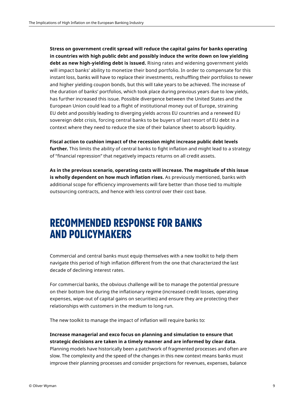**Stress on government credit spread will reduce the capital gains for banks operating in countries with high public debt and possibly induce the write down on low yielding debt as new high-yielding debt is issued.** Rising rates and widening government yields will impact banks' ability to monetize their bond portfolio. In order to compensate for this instant loss, banks will have to replace their investments, reshuffling their portfolios to newer and higher yielding coupon bonds, but this will take years to be achieved. The increase of the duration of banks' portfolios, which took place during previous years due to low yields, has further increased this issue. Possible divergence between the United States and the European Union could lead to a flight of institutional money out of Europe, straining EU debt and possibly leading to diverging yields across EU countries and a renewed EU sovereign debt crisis, forcing central banks to be buyers of last resort of EU debt in a context where they need to reduce the size of their balance sheet to absorb liquidity.

**Fiscal action to cushion impact of the recession might increase public debt levels further.** This limits the ability of central banks to fight inflation and might lead to a strategy of "financial repression" that negatively impacts returns on all credit assets.

**As in the previous scenario, operating costs will increase. The magnitude of this issue is wholly dependent on how much inflation rises.** As previously mentioned, banks with additional scope for efficiency improvements will fare better than those tied to multiple outsourcing contracts, and hence with less control over their cost base.

# **RECOMMENDED RESPONSE FOR BANKS AND POLICYMAKERS**

Commercial and central banks must equip themselves with a new toolkit to help them navigate this period of high inflation different from the one that characterized the last decade of declining interest rates.

For commercial banks, the obvious challenge will be to manage the potential pressure on their bottom line during the inflationary regime (increased credit losses, operating expenses, wipe-out of capital gains on securities) and ensure they are protecting their relationships with customers in the medium to long run.

The new toolkit to manage the impact of inflation will require banks to:

#### **Increase managerial and exco focus on planning and simulation to ensure that strategic decisions are taken in a timely manner and are informed by clear data**.

Planning models have historically been a patchwork of fragmented processes and often are slow. The complexity and the speed of the changes in this new context means banks must improve their planning processes and consider projections for revenues, expenses, balance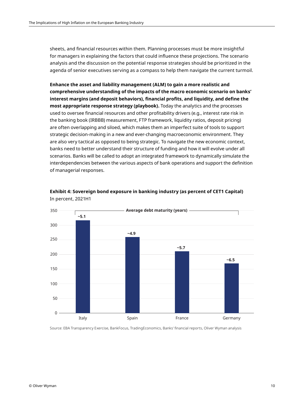sheets, and financial resources within them. Planning processes must be more insightful for managers in explaining the factors that could influence these projections. The scenario analysis and the discussion on the potential response strategies should be prioritized in the agenda of senior executives serving as a compass to help them navigate the current turmoil.

**Enhance the asset and liability management (ALM) to gain a more realistic and comprehensive understanding of the impacts of the macro economic scenario on banks' interest margins (and deposit behaviors), financial profits, and liquidity, and define the most appropriate response strategy (playbook).** Today the analytics and the processes used to oversee financial resources and other profitability drivers (e.g., interest rate risk in the banking book (IRBBB) measurement, FTP framework, liquidity ratios, deposit pricing) are often overlapping and siloed, which makes them an imperfect suite of tools to support strategic decision-making in a new and ever-changing macroeconomic environment. They are also very tactical as opposed to being strategic. To navigate the new economic context, banks need to better understand their structure of funding and how it will evolve under all scenarios. Banks will be called to adopt an integrated framework to dynamically simulate the interdependencies between the various aspects of bank operations and support the definition of managerial responses.



#### **Exhibit 4: Sovereign bond exposure in banking industry (as percent of CET1 Capital)** In percent, 2021H1

Source: EBA Transparency Exercise, BankFocus, TradingEconomics, Banks' financial reports, Oliver Wyman analysis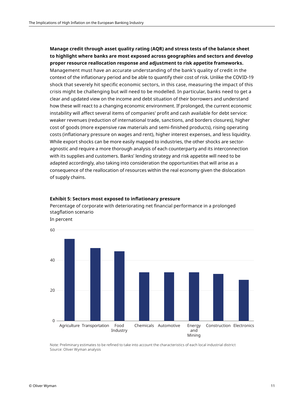## **Manage credit through asset quality rating (AQR) and stress tests of the balance sheet to highlight where banks are most exposed across geographies and sectors and develop proper resource reallocation response and adjustment to risk appetite frameworks.**

Management must have an accurate understanding of the bank's quality of credit in the context of the inflationary period and be able to quantify their cost of risk. Unlike the COVID-19 shock that severely hit specific economic sectors, in this case, measuring the impact of this crisis might be challenging but will need to be modelled. In particular, banks need to get a clear and updated view on the income and debt situation of their borrowers and understand how these will react to a changing economic environment. If prolonged, the current economic instability will affect several items of companies' profit and cash available for debt service: weaker revenues (reduction of international trade, sanctions, and borders closures), higher cost of goods (more expensive raw materials and semi-finished products), rising operating costs (inflationary pressure on wages and rent), higher interest expenses, and less liquidity. While export shocks can be more easily mapped to industries, the other shocks are sectoragnostic and require a more thorough analysis of each counterparty and its interconnection with its supplies and customers. Banks' lending strategy and risk appetite will need to be adapted accordingly, also taking into consideration the opportunities that will arise as a consequence of the reallocation of resources within the real economy given the dislocation of supply chains.

#### **Exhibit 5: Sectors most exposed to inflationary pressure**

Percentage of corporate with deteriorating net financial performance in a prolonged stagflation scenario In percent



Note: Preliminary estimates to be refined to take into account the characteristics of each local industrial district Source: Oliver Wyman analysis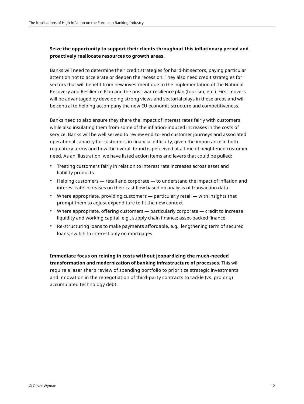## **Seize the opportunity to support their clients throughout this inflationary period and proactively reallocate resources to growth areas.**

Banks will need to determine their credit strategies for hard-hit sectors, paying particular attention not to accelerate or deepen the recession. They also need credit strategies for sectors that will benefit from new investment due to the implementation of the National Recovery and Resilience Plan and the post-war resilience plan (tourism, etc.). First movers will be advantaged by developing strong views and sectorial plays in these areas and will be central to helping accompany the new EU economic structure and competitiveness.

Banks need to also ensure they share the impact of interest rates fairly with customers while also insulating them from some of the inflation-induced increases in the costs of service. Banks will be well served to review end-to-end customer journeys and associated operational capacity for customers in financial difficulty, given the importance in both regulatory terms and how the overall brand is perceived at a time of heightened customer need. As an illustration, we have listed action items and levers that could be pulled:

- Treating customers fairly in relation to interest rate increases across asset and liability products
- Helping customers retail and corporate to understand the impact of inflation and interest rate increases on their cashflow based on analysis of transaction data
- Where appropriate, providing customers particularly retail with insights that prompt them to adjust expenditure to fit the new context
- Where appropriate, offering customers particularly corporate credit to increase liquidity and working capital, e.g., supply chain finance; asset-backed finance
- Re-structuring loans to make payments affordable, e.g., lengthening term of secured loans; switch to interest only on mortgages

**Immediate focus on reining in costs without jeopardizing the much-needed transformation and modernization of banking infrastructure of processes.** This will require a laser sharp review of spending portfolio to prioritize strategic investments and innovation in the renegotiation of third-party contracts to tackle (vs. prolong) accumulated technology debt.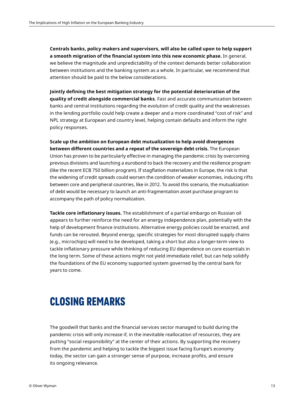**Centrals banks, policy makers and supervisors, will also be called upon to help support a smooth migration of the financial system into this new economic phase.** In general, we believe the magnitude and unpredictability of the context demands better collaboration between institutions and the banking system as a whole. In particular, we recommend that attention should be paid to the below considerations.

**Jointly defining the best mitigation strategy for the potential deterioration of the quality of credit alongside commercial banks**. Fast and accurate communication between banks and central institutions regarding the evolution of credit quality and the weaknesses in the lending portfolio could help create a deeper and a more coordinated "cost of risk" and NPL strategy at European and country level, helping contain defaults and inform the right policy responses.

**Scale up the ambition on European debt mutualization to help avoid divergences between different countries and a repeat of the sovereign debt crisis.** The European Union has proven to be particularly effective in managing the pandemic crisis by overcoming previous divisions and launching a eurobond to back the recovery and the resilience program (like the recent ECB 750 billion program). If stagflation materializes in Europe, the risk is that the widening of credit spreads could worsen the condition of weaker economies, inducing rifts between core and peripheral countries, like in 2012. To avoid this scenario, the mutualization of debt would be necessary to launch an anti-fragmentation asset purchase program to accompany the path of policy normalization.

**Tackle core inflationary issues.** The establishment of a partial embargo on Russian oil appears to further reinforce the need for an energy independence plan, potentially with the help of development finance institutions. Alternative energy policies could be enacted, and funds can be rerouted. Beyond energy, specific strategies for most disrupted supply chains (e.g., microchips) will need to be developed, taking a short but also a longer-term view to tackle inflationary pressure while thinking of reducing EU dependence on core essentials in the long term. Some of these actions might not yield immediate relief, but can help solidify the foundations of the EU economy supported system governed by the central bank for years to come.

# **CLOSING REMARKS**

The goodwill that banks and the financial services sector managed to build during the pandemic crisis will only increase if, in the inevitable reallocation of resources, they are putting "social responsibility" at the center of their actions. By supporting the recovery from the pandemic and helping to tackle the biggest issue facing Europe's economy today, the sector can gain a stronger sense of purpose, increase profits, and ensure its ongoing relevance.